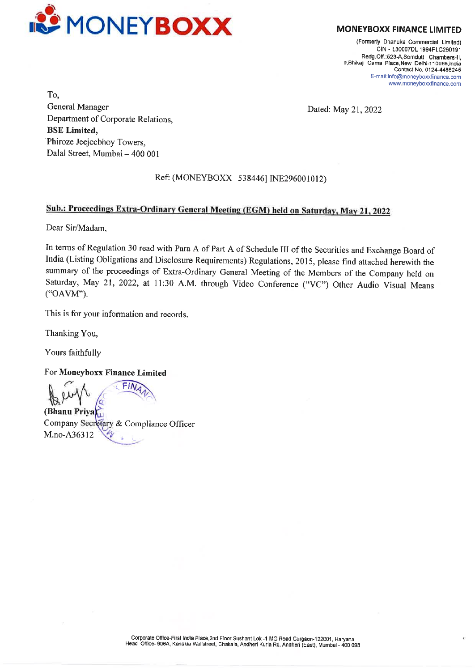

(Formerly Dhanuka Commercial Limited) CIN - L30007DL 1994PLC260191 Radg. Off.:523-A,Somdutt Chambers-ll, 9, Bhikaji Cama Place, New Delhi-110066, India Contact No. 0124-4486245 E-mail:info@moneyboxxfinance.com www.moneyboxxfinance.com

To, General Manager Dated: May 21, 2022 Department of Corporate Relations, BSE Limited, 'Phiroze Jeejeebhoy Towers, Dalal Street, Mumbai — 400 001

### Ref: (MONEYBOXX | 538446] INE296001012)

## Sub.: Proceedings Extra-Ordinary General Meeting (EGM) held on Saturday, May 21, 2022

Dear Sir/Madam,

In terms of Regulation 30 read with Para A of Part A of Schedule III of the Securities and Exchange Board of India (Listing Obligations and Disclosure Requirements) Regulations, 2015, please find attached herewith the summary of the proceedings of Extra-Ordinary General Meeting of the Members of the Company held on Saturday, May 21, 2022, at 11:30 A.M. through Video Conference ("VC") Other Audio Visual Means (""OAVM"),

This is for your information and records.

Thanking You,

Yours faithfully

For Moneyboxx Finance Limited

Thanking You,<br>
Yours faithfully<br>
For Moneyboxx Finance Limited<br>  $\bigcup_{x} \bigcup_{x} \bigcup_{x} \bigcap_{x} \bigcap_{x} \bigcap_{x} \bigcap_{x} \bigcap_{x} \bigcap_{x} \bigcap_{x} \bigcap_{x} \bigcap_{x} \bigcap_{x} \bigcap_{x} \bigcap_{x} \bigcap_{x} \bigcap_{x} \bigcap_{x} \bigcap_{x} \bigcap_{x} \bigcap_{x} \bigcap_{x} \bigcap_{x} \bigcap_{x} \bigcap_{x} \bigcap_{x}$ (Bhanu Priya Company Secrétary & Compliance Officer M.no-A36312  $\overline{\mathcal{L}}$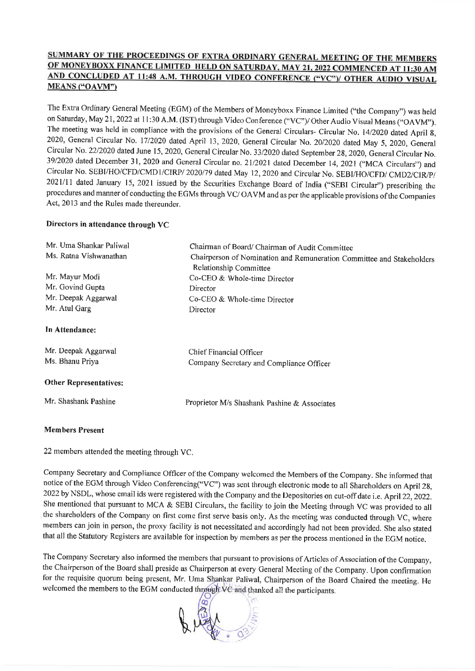# SUMMARY OF THE PROCEEDINGS OF EXTRA ORDINARY GENERAL MEETING OF THE MEMBERS<br>OF MONEYBOXX FINANCE LIMITED HELD ON SATURDAY, MAY 21, 2022 COMMENCED AT 11:30 AM<br>AND CONCLUDED AT 11:48 A.M. THROUGH VIDEO CONFERENCE ("VC")/ OTH MEANS ("OAVM")

The Extra Ordinary General Meeting (EGM) of the Members of Moneyboxx Finance Limited ("the Company") was held<br>on Saturday, May 21, 2022 at 11:30 A.M. (IST) through Video Conference ("VC")/ Other Audio Visual Means ("OAVM")

### Directors in attendance through VC

| Mr. Uma Shankar Paliwal            | Chairman of Board/ Chairman of Audit Committee                        |  |  |
|------------------------------------|-----------------------------------------------------------------------|--|--|
| Ms. Ratna Vishwanathan             | Chairperson of Nomination and Remuneration Committee and Stakeholders |  |  |
| Mr. Mayur Modi<br>Mr. Govind Gupta | Relationship Committee<br>Co-CEO & Whole-time Director<br>Director    |  |  |
| Mr. Deepak Aggarwal                | Co-CEO & Whole-time Director                                          |  |  |
| Mr. Atul Garg                      | Director                                                              |  |  |
| In Attendance:                     |                                                                       |  |  |
| Mr. Deepak Aggarwal                | Chief Financial Officer                                               |  |  |
| Ms. Bhanu Priya                    | Company Secretary and Compliance Officer                              |  |  |
| <b>Other Representatives:</b>      |                                                                       |  |  |
| Mr. Shashank Pashine               | Proprietor M/s Shashank Pashine & Associates                          |  |  |
|                                    |                                                                       |  |  |

### Members Present

22 members attended the meeting through VC.

Company Secretary and Compliance Officer of the Company welcomed the Members of the Company. She informed that<br>notice of the EGM through Video Conferencing("VC") was sent through electronic mode to all Shareholders on Apri

The Company Secretary also informed the members that pursuant to provisions of Articles of Association of the Company, the Chairperson of the Board shall preside as Chairperson at every General Meeting of the Company. Upon

 $^{\prime\text{O}}$